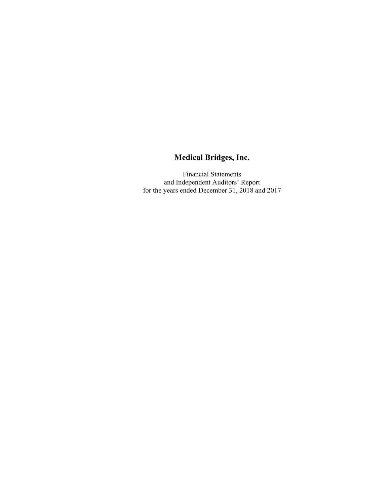Financial Statements and Independent Auditors' Report for the years ended December 31, 2018 and 2017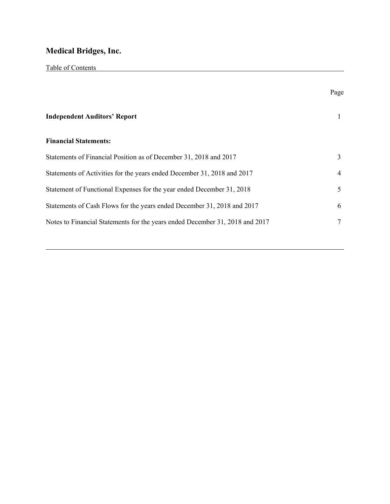Table of Contents

|                                                                              | Page |
|------------------------------------------------------------------------------|------|
| <b>Independent Auditors' Report</b>                                          |      |
| <b>Financial Statements:</b>                                                 |      |
| Statements of Financial Position as of December 31, 2018 and 2017            | 3    |
| Statements of Activities for the years ended December 31, 2018 and 2017      | 4    |
| Statement of Functional Expenses for the year ended December 31, 2018        | 5    |
| Statements of Cash Flows for the years ended December 31, 2018 and 2017      | 6    |
| Notes to Financial Statements for the years ended December 31, 2018 and 2017 | 7    |
|                                                                              |      |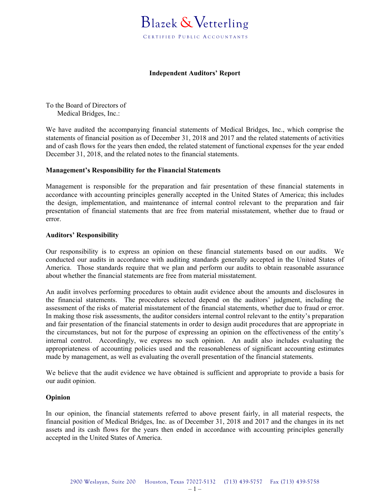

### **Independent Auditors' Report**

To the Board of Directors of Medical Bridges, Inc.:

We have audited the accompanying financial statements of Medical Bridges, Inc., which comprise the statements of financial position as of December 31, 2018 and 2017 and the related statements of activities and of cash flows for the years then ended, the related statement of functional expenses for the year ended December 31, 2018, and the related notes to the financial statements.

### **Management's Responsibility for the Financial Statements**

Management is responsible for the preparation and fair presentation of these financial statements in accordance with accounting principles generally accepted in the United States of America; this includes the design, implementation, and maintenance of internal control relevant to the preparation and fair presentation of financial statements that are free from material misstatement, whether due to fraud or error.

### **Auditors' Responsibility**

Our responsibility is to express an opinion on these financial statements based on our audits. We conducted our audits in accordance with auditing standards generally accepted in the United States of America. Those standards require that we plan and perform our audits to obtain reasonable assurance about whether the financial statements are free from material misstatement.

An audit involves performing procedures to obtain audit evidence about the amounts and disclosures in the financial statements. The procedures selected depend on the auditors' judgment, including the assessment of the risks of material misstatement of the financial statements, whether due to fraud or error. In making those risk assessments, the auditor considers internal control relevant to the entity's preparation and fair presentation of the financial statements in order to design audit procedures that are appropriate in the circumstances, but not for the purpose of expressing an opinion on the effectiveness of the entity's internal control. Accordingly, we express no such opinion. An audit also includes evaluating the appropriateness of accounting policies used and the reasonableness of significant accounting estimates made by management, as well as evaluating the overall presentation of the financial statements.

We believe that the audit evidence we have obtained is sufficient and appropriate to provide a basis for our audit opinion.

### **Opinion**

In our opinion, the financial statements referred to above present fairly, in all material respects, the financial position of Medical Bridges, Inc. as of December 31, 2018 and 2017 and the changes in its net assets and its cash flows for the years then ended in accordance with accounting principles generally accepted in the United States of America.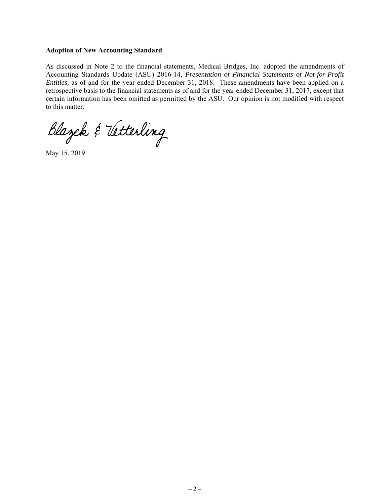### **Adoption of New Accounting Standard**

As discussed in Note 2 to the financial statements, Medical Bridges, Inc. adopted the amendments of Accounting Standards Update (ASU) 2016-14, *Presentation of Financial Statements of Not-for-Profit Entities,* as of and for the year ended December 31, 2018. These amendments have been applied on a retrospective basis to the financial statements as of and for the year ended December 31, 2017, except that certain information has been omitted as permitted by the ASU. Our opinion is not modified with respect to this matter.

Blazek & Vetterling

May 15, 2019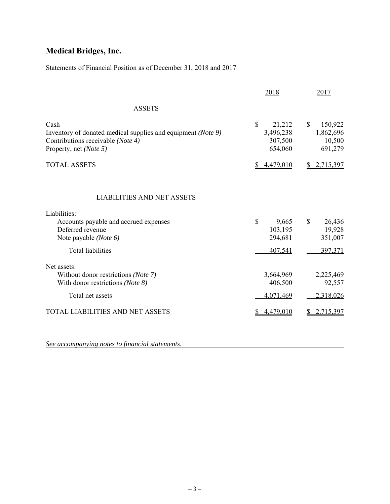| Statements of Financial Position as of December 31, 2018 and 2017                                                                   |                                                           |                                                           |
|-------------------------------------------------------------------------------------------------------------------------------------|-----------------------------------------------------------|-----------------------------------------------------------|
|                                                                                                                                     | 2018                                                      | 2017                                                      |
| <b>ASSETS</b>                                                                                                                       |                                                           |                                                           |
| Cash<br>Inventory of donated medical supplies and equipment (Note 9)<br>Contributions receivable (Note 4)<br>Property, net (Note 5) | $\mathbb{S}$<br>21,212<br>3,496,238<br>307,500<br>654,060 | $\mathbb{S}$<br>150,922<br>1,862,696<br>10,500<br>691,279 |
| <b>TOTAL ASSETS</b>                                                                                                                 | \$4,479,010                                               | \$2,715,397                                               |
| <b>LIABILITIES AND NET ASSETS</b>                                                                                                   |                                                           |                                                           |
| Liabilities:                                                                                                                        |                                                           |                                                           |
| Accounts payable and accrued expenses<br>Deferred revenue<br>Note payable (Note 6)<br><b>Total liabilities</b>                      | \$<br>9,665<br>103,195<br>294,681                         | $\mathbb{S}$<br>26,436<br>19,928<br>351,007               |
|                                                                                                                                     | 407,541                                                   | 397,371                                                   |
| Net assets:<br>Without donor restrictions (Note 7)<br>With donor restrictions (Note 8)<br>Total net assets                          | 3,664,969<br>406,500<br>4,071,469                         | 2,225,469<br>92,557<br>2,318,026                          |
| <b>TOTAL LIABILITIES AND NET ASSETS</b>                                                                                             | 4,479,010                                                 | 2,715,397                                                 |

*See accompanying notes to financial statements*.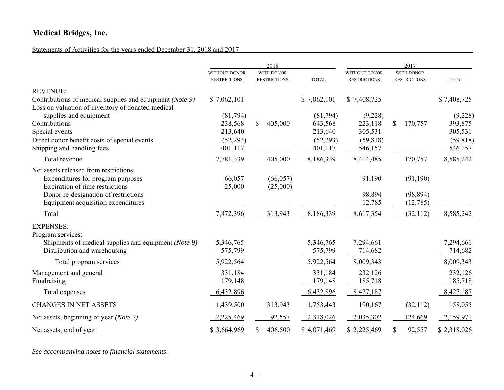## Statements of Activities for the years ended December 31, 2018 and 2017

|                                                          |                                             | 2018                                     |                     |                                             | 2017                              |                    |  |
|----------------------------------------------------------|---------------------------------------------|------------------------------------------|---------------------|---------------------------------------------|-----------------------------------|--------------------|--|
|                                                          | <b>WITHOUT DONOR</b><br><b>RESTRICTIONS</b> | <b>WITH DONOR</b><br><b>RESTRICTIONS</b> | <b>TOTAL</b>        | <b>WITHOUT DONOR</b><br><b>RESTRICTIONS</b> | WITH DONOR<br><b>RESTRICTIONS</b> | <b>TOTAL</b>       |  |
| <b>REVENUE:</b>                                          |                                             |                                          |                     |                                             |                                   |                    |  |
| Contributions of medical supplies and equipment (Note 9) | \$7,062,101                                 |                                          | \$7,062,101         | \$7,408,725                                 |                                   | \$7,408,725        |  |
| Loss on valuation of inventory of donated medical        |                                             |                                          |                     |                                             |                                   |                    |  |
| supplies and equipment<br>Contributions                  | (81,794)<br>238,568                         | $\mathbb{S}$<br>405,000                  | (81,794)<br>643,568 | (9,228)<br>223,118                          | \$<br>170,757                     | (9,228)<br>393,875 |  |
| Special events                                           | 213,640                                     |                                          | 213,640             | 305,531                                     |                                   | 305,531            |  |
| Direct donor benefit costs of special events             | (52, 293)                                   |                                          | (52, 293)           | (59, 818)                                   |                                   | (59, 818)          |  |
| Shipping and handling fees                               | 401,117                                     |                                          | 401,117             | 546,157                                     |                                   | 546,157            |  |
| Total revenue                                            | 7,781,339                                   | 405,000                                  | 8,186,339           | 8,414,485                                   | 170,757                           | 8,585,242          |  |
| Net assets released from restrictions:                   |                                             |                                          |                     |                                             |                                   |                    |  |
| Expenditures for program purposes                        | 66,057                                      | (66, 057)                                |                     | 91,190                                      | (91,190)                          |                    |  |
| Expiration of time restrictions                          | 25,000                                      | (25,000)                                 |                     |                                             |                                   |                    |  |
| Donor re-designation of restrictions                     |                                             |                                          |                     | 98,894                                      | (98, 894)                         |                    |  |
| Equipment acquisition expenditures                       |                                             |                                          |                     | 12,785                                      | (12,785)                          |                    |  |
| Total                                                    | 7,872,396                                   | 313,943                                  | 8,186,339           | 8,617,354                                   | (32,112)                          | 8,585,242          |  |
| <b>EXPENSES:</b>                                         |                                             |                                          |                     |                                             |                                   |                    |  |
| Program services:                                        |                                             |                                          |                     |                                             |                                   |                    |  |
| Shipments of medical supplies and equipment (Note 9)     | 5,346,765                                   |                                          | 5,346,765           | 7,294,661                                   |                                   | 7,294,661          |  |
| Distribution and warehousing                             | 575,799                                     |                                          | 575,799             | 714,682                                     |                                   | 714,682            |  |
| Total program services                                   | 5,922,564                                   |                                          | 5,922,564           | 8,009,343                                   |                                   | 8,009,343          |  |
| Management and general                                   | 331,184                                     |                                          | 331,184             | 232,126                                     |                                   | 232,126            |  |
| Fundraising                                              | 179,148                                     |                                          | 179,148             | 185,718                                     |                                   | 185,718            |  |
| Total expenses                                           | 6,432,896                                   |                                          | 6,432,896           | 8,427,187                                   |                                   | 8,427,187          |  |
| <b>CHANGES IN NET ASSETS</b>                             | 1,439,500                                   | 313,943                                  | 1,753,443           | 190,167                                     | (32,112)                          | 158,055            |  |
| Net assets, beginning of year (Note 2)                   | 2,225,469                                   | 92,557                                   | 2,318,026           | 2,035,302                                   | 124,669                           | 2,159,971          |  |
| Net assets, end of year                                  | \$3,664,969                                 | 406,500                                  | \$4,071,469         | \$2,225,469                                 | 92,557                            | \$2,318,026        |  |

*See accompanying notes to financial statements*.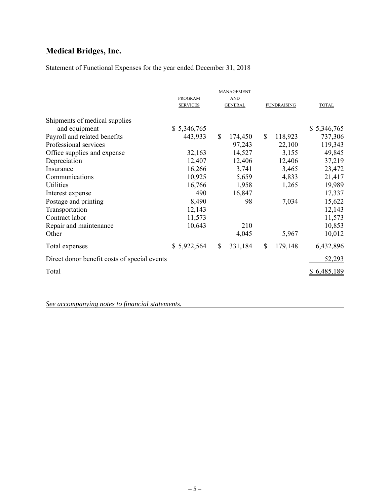## Statement of Functional Expenses for the year ended December 31, 2018

|                                              | <b>PROGRAM</b><br><b>SERVICES</b> |             | <b>MANAGEMENT</b><br><b>AND</b><br><b>GENERAL</b> |              | <b>FUNDRAISING</b> | <b>TOTAL</b> |
|----------------------------------------------|-----------------------------------|-------------|---------------------------------------------------|--------------|--------------------|--------------|
| Shipments of medical supplies                |                                   |             |                                                   |              |                    |              |
| and equipment                                | \$5,346,765                       |             |                                                   |              |                    | \$5,346,765  |
| Payroll and related benefits                 | 443,933                           | $\mathbf S$ | 174,450                                           | $\mathbb{S}$ | 118,923            | 737,306      |
| Professional services                        |                                   |             | 97,243                                            |              | 22,100             | 119,343      |
| Office supplies and expense                  | 32,163                            |             | 14,527                                            |              | 3,155              | 49,845       |
| Depreciation                                 | 12,407                            |             | 12,406                                            |              | 12,406             | 37,219       |
| Insurance                                    | 16,266                            |             | 3,741                                             |              | 3,465              | 23,472       |
| Communications                               | 10,925                            |             | 5,659                                             |              | 4,833              | 21,417       |
| Utilities                                    | 16,766                            |             | 1,958                                             |              | 1,265              | 19,989       |
| Interest expense                             | 490                               |             | 16,847                                            |              |                    | 17,337       |
| Postage and printing                         | 8,490                             |             | 98                                                |              | 7,034              | 15,622       |
| Transportation                               | 12,143                            |             |                                                   |              |                    | 12,143       |
| Contract labor                               | 11,573                            |             |                                                   |              |                    | 11,573       |
| Repair and maintenance                       | 10,643                            |             | 210                                               |              |                    | 10,853       |
| Other                                        |                                   |             | 4,045                                             |              | 5,967              | 10,012       |
| Total expenses                               | \$5,922,564                       |             | 331,184                                           | S            | 179,148            | 6,432,896    |
| Direct donor benefit costs of special events |                                   |             |                                                   |              |                    | 52,293       |
| Total                                        |                                   |             |                                                   |              |                    | \$6,485,189  |

*See accompanying notes to financial statements.*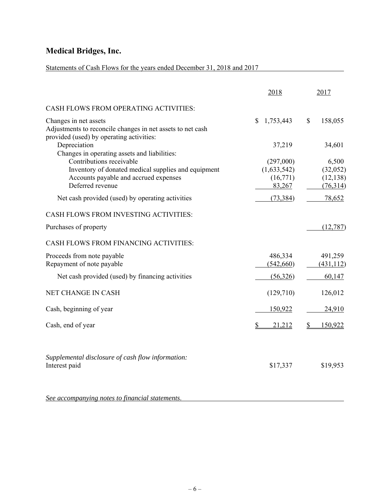## Statements of Cash Flows for the years ended December 31, 2018 and 2017

|                                                                                                                                 | 2018               | 2017                  |
|---------------------------------------------------------------------------------------------------------------------------------|--------------------|-----------------------|
| CASH FLOWS FROM OPERATING ACTIVITIES:                                                                                           |                    |                       |
| Changes in net assets<br>Adjustments to reconcile changes in net assets to net cash<br>provided (used) by operating activities: | 1,753,443<br>\$    | 158,055<br>\$         |
| Depreciation<br>Changes in operating assets and liabilities:                                                                    | 37,219             | 34,601                |
| Contributions receivable                                                                                                        | (297,000)          | 6,500                 |
| Inventory of donated medical supplies and equipment                                                                             | (1,633,542)        | (32,052)              |
| Accounts payable and accrued expenses<br>Deferred revenue                                                                       | (16,771)<br>83,267 | (12, 138)<br>(76,314) |
|                                                                                                                                 |                    |                       |
| Net cash provided (used) by operating activities                                                                                | (73, 384)          | 78,652                |
| CASH FLOWS FROM INVESTING ACTIVITIES:                                                                                           |                    |                       |
| Purchases of property                                                                                                           |                    | (12, 787)             |
| CASH FLOWS FROM FINANCING ACTIVITIES:                                                                                           |                    |                       |
| Proceeds from note payable                                                                                                      | 486,334            | 491,259               |
| Repayment of note payable                                                                                                       | (542,660)          | (431, 112)            |
| Net cash provided (used) by financing activities                                                                                | (56,326)           | 60,147                |
| NET CHANGE IN CASH                                                                                                              | (129,710)          | 126,012               |
| Cash, beginning of year                                                                                                         | 150,922            | 24,910                |
| Cash, end of year                                                                                                               | 21,212<br>S        | 150,922               |
| Supplemental disclosure of cash flow information:                                                                               |                    |                       |
| Interest paid                                                                                                                   | \$17,337           | \$19,953              |
| See accompanying notes to financial statements.                                                                                 |                    |                       |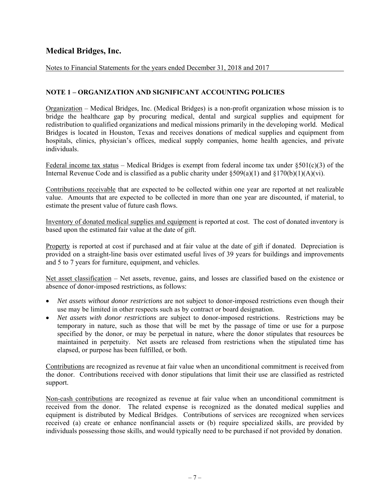Notes to Financial Statements for the years ended December 31, 2018 and 2017

### **NOTE 1 – ORGANIZATION AND SIGNIFICANT ACCOUNTING POLICIES**

Organization – Medical Bridges, Inc. (Medical Bridges) is a non-profit organization whose mission is to bridge the healthcare gap by procuring medical, dental and surgical supplies and equipment for redistribution to qualified organizations and medical missions primarily in the developing world. Medical Bridges is located in Houston, Texas and receives donations of medical supplies and equipment from hospitals, clinics, physician's offices, medical supply companies, home health agencies, and private individuals.

Federal income tax status – Medical Bridges is exempt from federal income tax under  $\S501(c)(3)$  of the Internal Revenue Code and is classified as a public charity under  $\S509(a)(1)$  and  $\S170(b)(1)(A)(vi)$ .

Contributions receivable that are expected to be collected within one year are reported at net realizable value. Amounts that are expected to be collected in more than one year are discounted, if material, to estimate the present value of future cash flows.

Inventory of donated medical supplies and equipment is reported at cost. The cost of donated inventory is based upon the estimated fair value at the date of gift.

Property is reported at cost if purchased and at fair value at the date of gift if donated. Depreciation is provided on a straight-line basis over estimated useful lives of 39 years for buildings and improvements and 5 to 7 years for furniture, equipment, and vehicles.

Net asset classification – Net assets, revenue, gains, and losses are classified based on the existence or absence of donor-imposed restrictions, as follows:

- *Net assets without donor restrictions* are not subject to donor-imposed restrictions even though their use may be limited in other respects such as by contract or board designation.
- *Net assets with donor restrictions* are subject to donor-imposed restrictions. Restrictions may be temporary in nature, such as those that will be met by the passage of time or use for a purpose specified by the donor, or may be perpetual in nature, where the donor stipulates that resources be maintained in perpetuity. Net assets are released from restrictions when the stipulated time has elapsed, or purpose has been fulfilled, or both.

Contributions are recognized as revenue at fair value when an unconditional commitment is received from the donor. Contributions received with donor stipulations that limit their use are classified as restricted support.

Non-cash contributions are recognized as revenue at fair value when an unconditional commitment is received from the donor. The related expense is recognized as the donated medical supplies and equipment is distributed by Medical Bridges. Contributions of services are recognized when services received (a) create or enhance nonfinancial assets or (b) require specialized skills, are provided by individuals possessing those skills, and would typically need to be purchased if not provided by donation.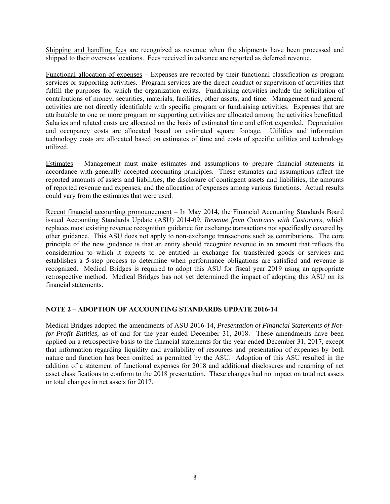Shipping and handling fees are recognized as revenue when the shipments have been processed and shipped to their overseas locations. Fees received in advance are reported as deferred revenue.

Functional allocation of expenses – Expenses are reported by their functional classification as program services or supporting activities. Program services are the direct conduct or supervision of activities that fulfill the purposes for which the organization exists. Fundraising activities include the solicitation of contributions of money, securities, materials, facilities, other assets, and time. Management and general activities are not directly identifiable with specific program or fundraising activities. Expenses that are attributable to one or more program or supporting activities are allocated among the activities benefitted. Salaries and related costs are allocated on the basis of estimated time and effort expended. Depreciation and occupancy costs are allocated based on estimated square footage. Utilities and information technology costs are allocated based on estimates of time and costs of specific utilities and technology utilized.

Estimates – Management must make estimates and assumptions to prepare financial statements in accordance with generally accepted accounting principles. These estimates and assumptions affect the reported amounts of assets and liabilities, the disclosure of contingent assets and liabilities, the amounts of reported revenue and expenses, and the allocation of expenses among various functions. Actual results could vary from the estimates that were used.

Recent financial accounting pronouncement – In May 2014, the Financial Accounting Standards Board issued Accounting Standards Update (ASU) 2014-09, *Revenue from Contracts with Customers*, which replaces most existing revenue recognition guidance for exchange transactions not specifically covered by other guidance. This ASU does not apply to non-exchange transactions such as contributions. The core principle of the new guidance is that an entity should recognize revenue in an amount that reflects the consideration to which it expects to be entitled in exchange for transferred goods or services and establishes a 5-step process to determine when performance obligations are satisfied and revenue is recognized. Medical Bridges is required to adopt this ASU for fiscal year 2019 using an appropriate retrospective method. Medical Bridges has not yet determined the impact of adopting this ASU on its financial statements.

### **NOTE 2 – ADOPTION OF ACCOUNTING STANDARDS UPDATE 2016-14**

Medical Bridges adopted the amendments of ASU 2016-14, *Presentation of Financial Statements of Notfor-Profit Entities,* as of and for the year ended December 31, 2018. These amendments have been applied on a retrospective basis to the financial statements for the year ended December 31, 2017, except that information regarding liquidity and availability of resources and presentation of expenses by both nature and function has been omitted as permitted by the ASU. Adoption of this ASU resulted in the addition of a statement of functional expenses for 2018 and additional disclosures and renaming of net asset classifications to conform to the 2018 presentation. These changes had no impact on total net assets or total changes in net assets for 2017.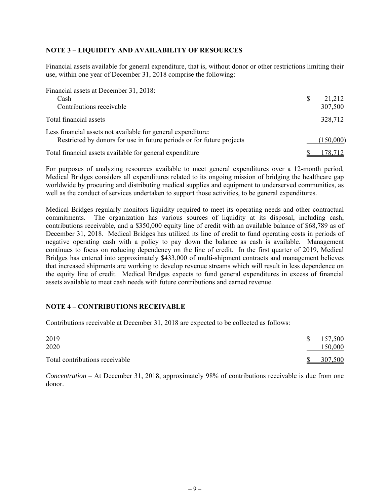### **NOTE 3 – LIQUIDITY AND AVAILABILITY OF RESOURCES**

Financial assets available for general expenditure, that is, without donor or other restrictions limiting their use, within one year of December 31, 2018 comprise the following:

| Financial assets at December 31, 2018:                                |           |
|-----------------------------------------------------------------------|-----------|
| Cash                                                                  | 21,212    |
| Contributions receivable                                              | 307,500   |
| Total financial assets                                                | 328,712   |
| Less financial assets not available for general expenditure:          |           |
| Restricted by donors for use in future periods or for future projects | (150,000) |
| Total financial assets available for general expenditure              | 178.712   |

For purposes of analyzing resources available to meet general expenditures over a 12-month period, Medical Bridges considers all expenditures related to its ongoing mission of bridging the healthcare gap worldwide by procuring and distributing medical supplies and equipment to underserved communities, as well as the conduct of services undertaken to support those activities, to be general expenditures.

Medical Bridges regularly monitors liquidity required to meet its operating needs and other contractual commitments. The organization has various sources of liquidity at its disposal, including cash, contributions receivable, and a \$350,000 equity line of credit with an available balance of \$68,789 as of December 31, 2018. Medical Bridges has utilized its line of credit to fund operating costs in periods of negative operating cash with a policy to pay down the balance as cash is available. Management continues to focus on reducing dependency on the line of credit. In the first quarter of 2019, Medical Bridges has entered into approximately \$433,000 of multi-shipment contracts and management believes that increased shipments are working to develop revenue streams which will result in less dependence on the equity line of credit. Medical Bridges expects to fund general expenditures in excess of financial assets available to meet cash needs with future contributions and earned revenue.

### **NOTE 4 – CONTRIBUTIONS RECEIVABLE**

Contributions receivable at December 31, 2018 are expected to be collected as follows:

| 2019<br>2020                   |              | \$157,500<br>150,000 |
|--------------------------------|--------------|----------------------|
| Total contributions receivable | <sup>S</sup> | 307,500              |

*Concentration* – At December 31, 2018, approximately 98% of contributions receivable is due from one donor.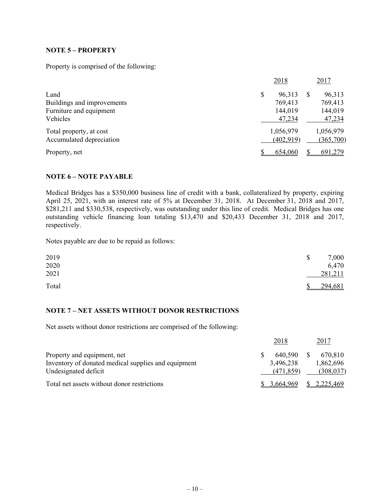### **NOTE 5 – PROPERTY**

Property is comprised of the following:

|                            | 2018      |            | 2017      |
|----------------------------|-----------|------------|-----------|
| Land                       | \$        | 96,313     | 96,313    |
| Buildings and improvements |           | 769,413    | 769,413   |
| Furniture and equipment    |           | 144,019    | 144,019   |
| Vehicles                   |           | 47,234     | 47,234    |
| Total property, at cost    | 1,056,979 |            | 1,056,979 |
| Accumulated depreciation   |           | (402, 919) | (365,700) |
| Property, net              |           | 654,060    | 691,279   |

### **NOTE 6 – NOTE PAYABLE**

Medical Bridges has a \$350,000 business line of credit with a bank, collateralized by property, expiring April 25, 2021, with an interest rate of 5% at December 31, 2018. At December 31, 2018 and 2017, \$281,211 and \$330,538, respectively, was outstanding under this line of credit. Medical Bridges has one outstanding vehicle financing loan totaling \$13,470 and \$20,433 December 31, 2018 and 2017, respectively.

Notes payable are due to be repaid as follows:

| 2019  | 7,000                    |
|-------|--------------------------|
| 2020  | 6,470                    |
| 2021  | 281,211                  |
| Total | 294,681<br><sup>\$</sup> |

### **NOTE 7 – NET ASSETS WITHOUT DONOR RESTRICTIONS**

Net assets without donor restrictions are comprised of the following:

|                                                     | 2018       | 2017                  |
|-----------------------------------------------------|------------|-----------------------|
| Property and equipment, net                         | 640.590    | 670.810               |
| Inventory of donated medical supplies and equipment | 3,496,238  | 1,862,696             |
| Undesignated deficit                                | (471, 859) | (308, 037)            |
| Total net assets without donor restrictions         | 3,664,969  | $\frac{$2,225,469}{}$ |